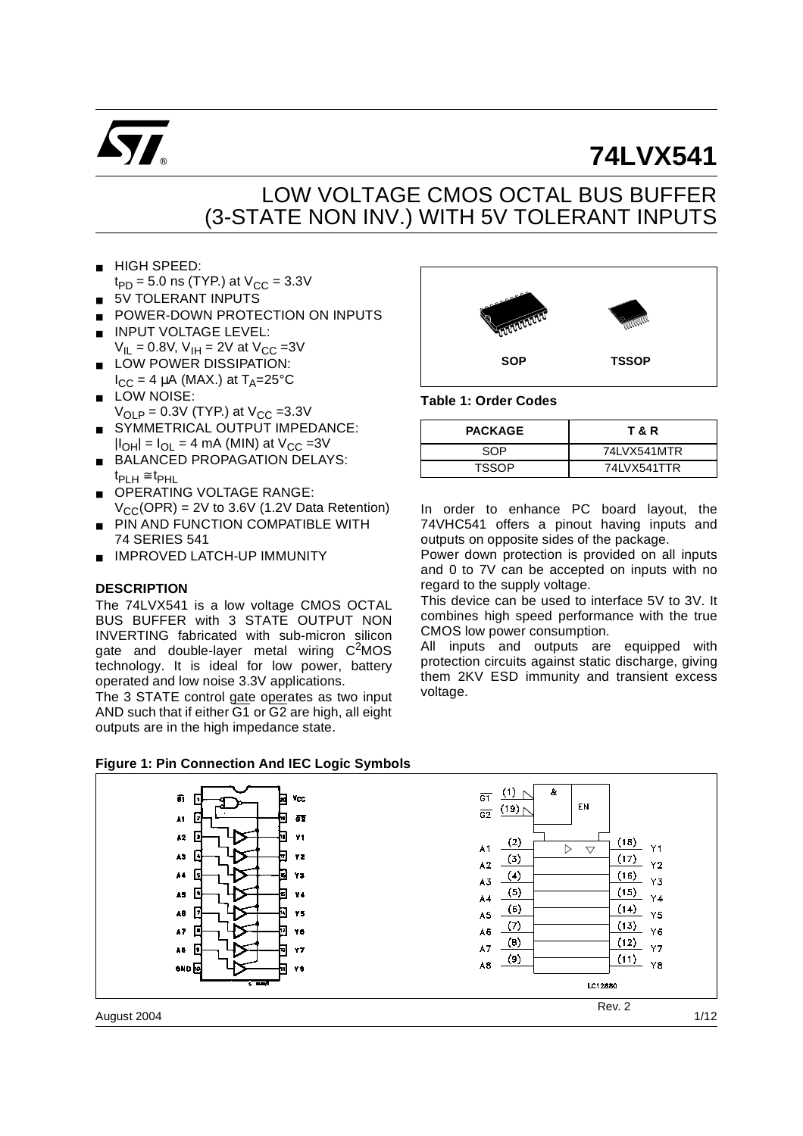

# **74LVX541**

## LOW VOLTAGE CMOS OCTAL BUS BUFFER (3-STATE NON INV.) WITH 5V TOLERANT INPUTS

- HIGH SPEED:  $t_{PD} = 5.0$  ns (TYP.) at  $V_{CC} = 3.3V$
- 5V TOLERANT INPUTS
- POWER-DOWN PROTECTION ON INPUTS
- **INPUT VOLTAGE LEVEL:**  $V_{IL} = 0.8V$ ,  $V_{IH} = 2V$  at  $V_{CC} = 3V$
- LOW POWER DISSIPATION:  $I_{CC}$  = 4 µA (MAX.) at  $T_{\Delta}$ =25°C
- LOW NOISE:
- $V_{\text{OI}}$   $_{P}$  = 0.3V (TYP.) at  $V_{\text{CC}}$  =3.3V
- SYMMETRICAL OUTPUT IMPEDANCE:  $|I_{OH}| = I_{OL} = 4$  mA (MIN) at  $V_{CC} = 3V$
- BALANCED PROPAGATION DELAYS:  $t_{PI\;H} \cong t_{PHL}$
- OPERATING VOLTAGE RANGE:  $V_{CC}(OPR) = 2V$  to 3.6V (1.2V Data Retention)
- **PIN AND FUNCTION COMPATIBLE WITH** 74 SERIES 541
- IMPROVED LATCH-UP IMMUNITY

#### **DESCRIPTION**

The 74LVX541 is a low voltage CMOS OCTAL BUS BUFFER with 3 STATE OUTPUT NON INVERTING fabricated with sub-micron silicon gate and double-layer metal wiring  $C<sup>2</sup>MOS$ technology. It is ideal for low power, battery operated and low noise 3.3V applications.

The 3 STATE control gate operates as two input AND such that if either G1 or G2 are high, all eight outputs are in the high impedance state.



#### **Table 1: Order Codes**

| <b>PACKAGE</b> | T & R       |
|----------------|-------------|
| SOP            | 74LVX541MTR |
| <b>TSSOP</b>   | 74LVX541TTR |

In order to enhance PC board layout, the 74VHC541 offers a pinout having inputs and outputs on opposite sides of the package.

Power down protection is provided on all inputs and 0 to 7V can be accepted on inputs with no regard to the supply voltage.

This device can be used to interface 5V to 3V. It combines high speed performance with the true CMOS low power consumption.

All inputs and outputs are equipped with protection circuits against static discharge, giving them 2KV ESD immunity and transient excess voltage.

#### **Figure 1: Pin Connection And IEC Logic Symbols**

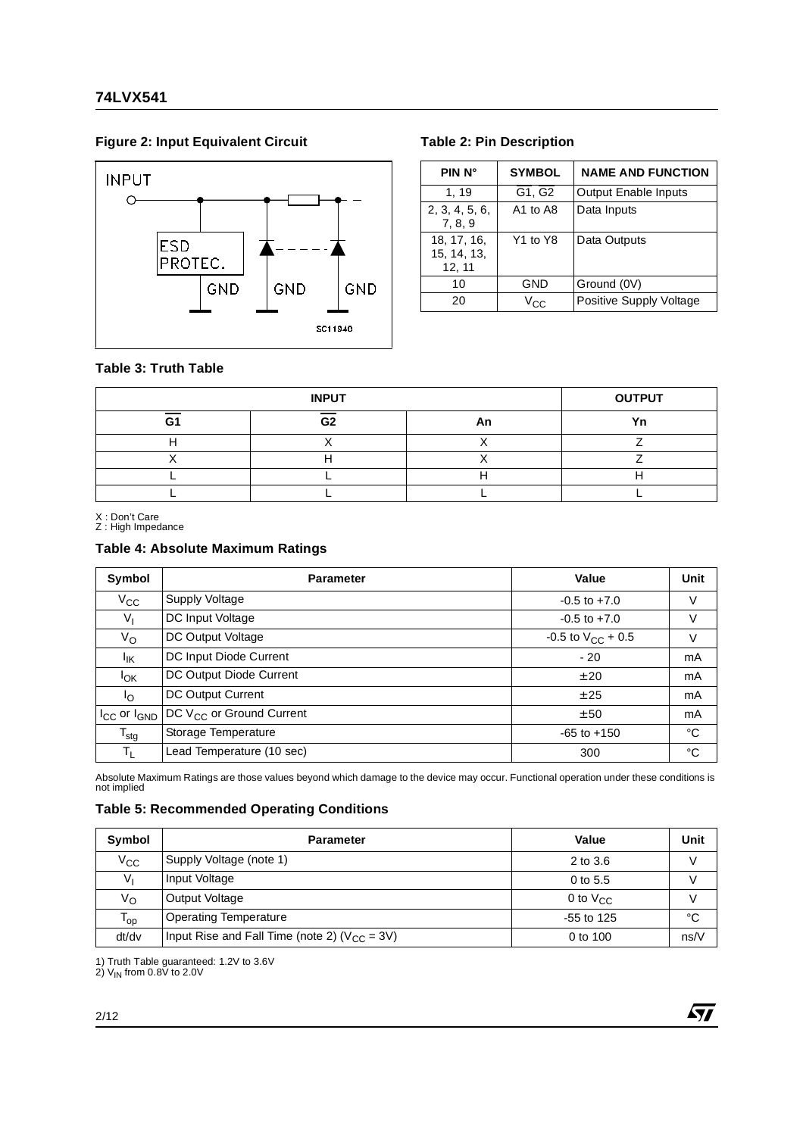#### Figure 2: Input Equivalent Circuit **Table 2: Pin Description**



| PIN N°                               | <b>SYMBOL</b>                    | <b>NAME AND FUNCTION</b>    |
|--------------------------------------|----------------------------------|-----------------------------|
| 1, 19                                | G1, G2                           | <b>Output Enable Inputs</b> |
| 2, 3, 4, 5, 6,<br>7, 8, 9            | A1 to A8                         | Data Inputs                 |
| 18, 17, 16,<br>15, 14, 13,<br>12, 11 | Y <sub>1</sub> to Y <sub>8</sub> | Data Outputs                |
| 10                                   | GND                              | Ground (0V)                 |
| 20                                   | Vec                              | Positive Supply Voltage     |

#### **Table 3: Truth Table**

|    | <b>OUTPUT</b>  |    |    |
|----|----------------|----|----|
| G1 | G <sub>2</sub> | An | Vn |
|    |                |    |    |
|    |                |    |    |
|    |                |    |    |
|    |                |    |    |

X : Don't Care Z : High Impedance

#### **Table 4: Absolute Maximum Ratings**

| Symbol                | <b>Parameter</b>                     | Value                  | Unit |
|-----------------------|--------------------------------------|------------------------|------|
| $V_{\rm CC}$          | Supply Voltage                       | $-0.5$ to $+7.0$       | V    |
| $V_{I}$               | DC Input Voltage                     | $-0.5$ to $+7.0$       | V    |
| V <sub>O</sub>        | DC Output Voltage                    | -0.5 to $V_{CC}$ + 0.5 | V    |
| <sup>I</sup> IK       | DC Input Diode Current               | $-20$                  | mA   |
| $I_{OK}$              | DC Output Diode Current              | ± 20                   | mA   |
| Ιo                    | DC Output Current                    | ± 25                   | mA   |
| $I_{CC}$ or $I_{GND}$ | DC V <sub>CC</sub> or Ground Current | ± 50                   | mA   |
| $T_{\text{stg}}$      | Storage Temperature                  | $-65$ to $+150$        | °C   |
| $T_{\rm L}$           | Lead Temperature (10 sec)            | 300                    | °C   |

Absolute Maximum Ratings are those values beyond which damage to the device may occur. Functional operation under these conditions is not implied

#### **Table 5: Recommended Operating Conditions**

| Symbol                     | <b>Parameter</b>                                   | Value         | Unit |
|----------------------------|----------------------------------------------------|---------------|------|
| $V_{\rm CC}$               | Supply Voltage (note 1)                            | 2 to 3.6      | V    |
| Vı                         | Input Voltage                                      | $0$ to 5.5    |      |
| V <sub>O</sub>             | Output Voltage                                     | 0 to $V_{CC}$ | V    |
| $\mathsf{T}_{\mathsf{op}}$ | <b>Operating Temperature</b>                       | $-55$ to 125  | °C   |
| dt/dv                      | Input Rise and Fall Time (note 2) ( $V_{CC}$ = 3V) | 0 to 100      | ns/V |

1) Truth Table guaranteed: 1.2V to 3.6V<br>2) V<sub>IN</sub> from 0.8V to 2.0V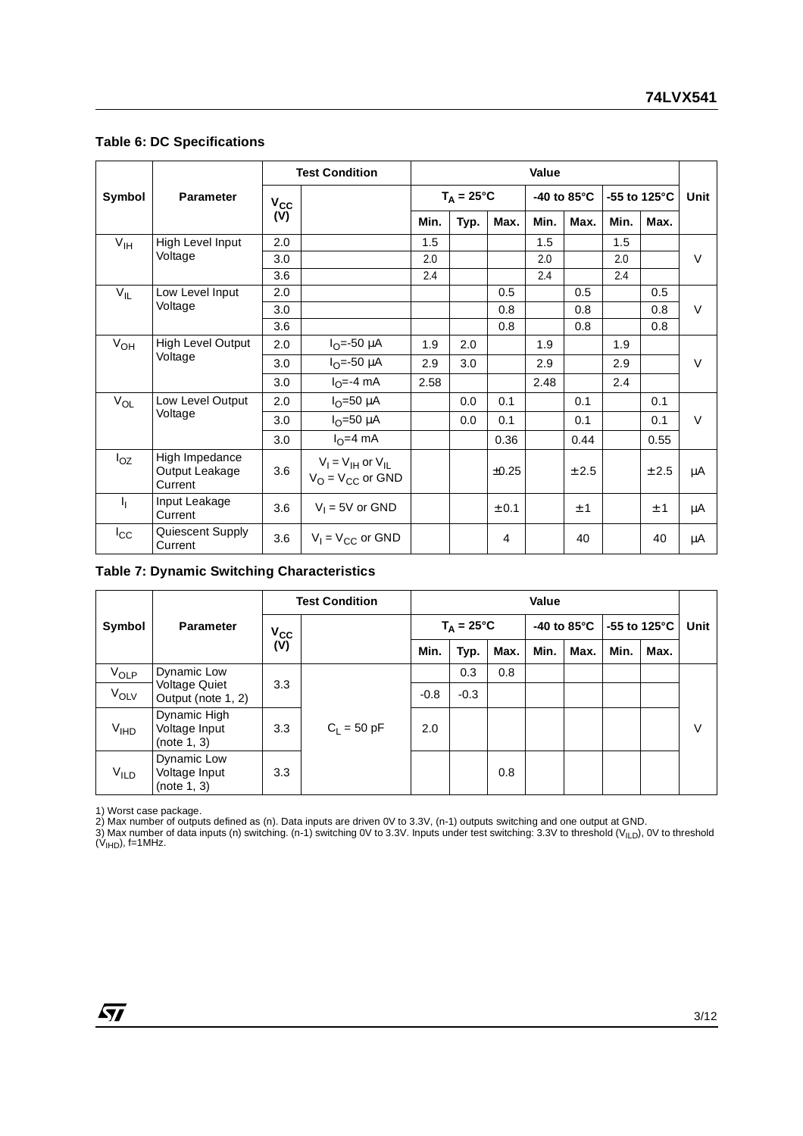#### **Table 6: DC Specifications**

|                 |                                             |              | <b>Test Condition</b>                                               | Value               |      |            |      |                       |                         |       |        |
|-----------------|---------------------------------------------|--------------|---------------------------------------------------------------------|---------------------|------|------------|------|-----------------------|-------------------------|-------|--------|
| Symbol          | <b>Parameter</b>                            | $V_{\rm CC}$ |                                                                     | $T_A = 25^{\circ}C$ |      |            |      | -40 to $85^{\circ}$ C | -55 to 125 $^{\circ}$ C |       | Unit   |
|                 |                                             | (V)          |                                                                     | Min.                | Typ. | Max.       | Min. | Max.                  | Min.                    | Max.  |        |
| $V_{\text{IH}}$ | High Level Input                            | 2.0          |                                                                     | 1.5                 |      |            | 1.5  |                       | 1.5                     |       |        |
|                 | Voltage                                     | 3.0          |                                                                     | 2.0                 |      |            | 2.0  |                       | 2.0                     |       | $\vee$ |
|                 |                                             | 3.6          |                                                                     | 2.4                 |      |            | 2.4  |                       | 2.4                     |       |        |
| $V_{IL}$        | Low Level Input                             | 2.0          |                                                                     |                     |      | 0.5        |      | 0.5                   |                         | 0.5   |        |
|                 | Voltage                                     | 3.0          |                                                                     |                     |      | 0.8        |      | 0.8                   |                         | 0.8   | $\vee$ |
|                 |                                             | 3.6          |                                                                     |                     |      | 0.8        |      | 0.8                   |                         | 0.8   |        |
| $V_{OH}$        | <b>High Level Output</b>                    | 2.0          | $I_{\Omega} = -50 \mu A$                                            | 1.9                 | 2.0  |            | 1.9  |                       | 1.9                     |       |        |
|                 | Voltage                                     | 3.0          | $I_{O} = -50 \mu A$                                                 | 2.9                 | 3.0  |            | 2.9  |                       | 2.9                     |       | $\vee$ |
|                 |                                             | 3.0          | $IO=-4 mA$                                                          | 2.58                |      |            | 2.48 |                       | 2.4                     |       |        |
| $V_{OL}$        | Low Level Output                            | 2.0          | $I_{\Omega}$ =50 µA                                                 |                     | 0.0  | 0.1        |      | 0.1                   |                         | 0.1   |        |
|                 | Voltage                                     | 3.0          | $I_{\Omega}$ =50 µA                                                 |                     | 0.0  | 0.1        |      | 0.1                   |                         | 0.1   | $\vee$ |
|                 |                                             | 3.0          | $IO=4 mA$                                                           |                     |      | 0.36       |      | 0.44                  |                         | 0.55  |        |
| $I_{OZ}$        | High Impedance<br>Output Leakage<br>Current | 3.6          | $V_1 = V_{1H}$ or $V_{1L}$<br>$V_{\Omega}$ = $V_{\text{CC}}$ or GND |                     |      | $\pm 0.25$ |      | ± 2.5                 |                         | ± 2.5 | μA     |
| Ч.              | Input Leakage<br>Current                    | 3.6          | $V_1 = 5V$ or GND                                                   |                     |      | ± 0.1      |      | ±1                    |                         | ±1    | μA     |
| $I_{\rm CC}$    | Quiescent Supply<br>Current                 | 3.6          | $V_1 = V_{CC}$ or GND                                               |                     |      | 4          |      | 40                    |                         | 40    | μA     |

#### **Table 7: Dynamic Switching Characteristics**

|                        |                                              |                 | <b>Test Condition</b> |        | Value               |      |      |                       |                         |      |        |
|------------------------|----------------------------------------------|-----------------|-----------------------|--------|---------------------|------|------|-----------------------|-------------------------|------|--------|
| Symbol                 | <b>Parameter</b>                             | $V_{CC}$<br>(V) |                       |        | $T_A = 25^{\circ}C$ |      |      | -40 to $85^{\circ}$ C | -55 to 125 $^{\circ}$ C |      | Unit   |
|                        |                                              |                 |                       | Min.   | Typ.                | Max. | Min. | Max.                  | Min.                    | Max. |        |
| $V_{OLP}$              | Dynamic Low                                  | 3.3             |                       |        | 0.3                 | 0.8  |      |                       |                         |      |        |
| $V_{OLV}$              | <b>Voltage Quiet</b><br>Output (note 1, 2)   |                 | $C_1 = 50 pF$         | $-0.8$ | $-0.3$              |      |      |                       |                         |      |        |
| <b>V<sub>IHD</sub></b> | Dynamic High<br>Voltage Input<br>(note 1, 3) | 3.3             |                       | 2.0    |                     |      |      |                       |                         |      | $\vee$ |
| <b>V<sub>ILD</sub></b> | Dynamic Low<br>Voltage Input<br>(note 1, 3)  | 3.3             |                       |        |                     | 0.8  |      |                       |                         |      |        |

1) Worst case package.

2) Max number of outputs defined as (n). Data inputs are driven 0V to 3.3V, (n-1) outputs switching and one output at GND.

3) Max number of data inputs (n) switching. (n-1) switching 0V to 3.3V. Inputs under test switching: 3.3V to threshold (V<sub>ILD</sub>), 0V to threshold<br>(V<sub>IHD</sub>), f=1MHz.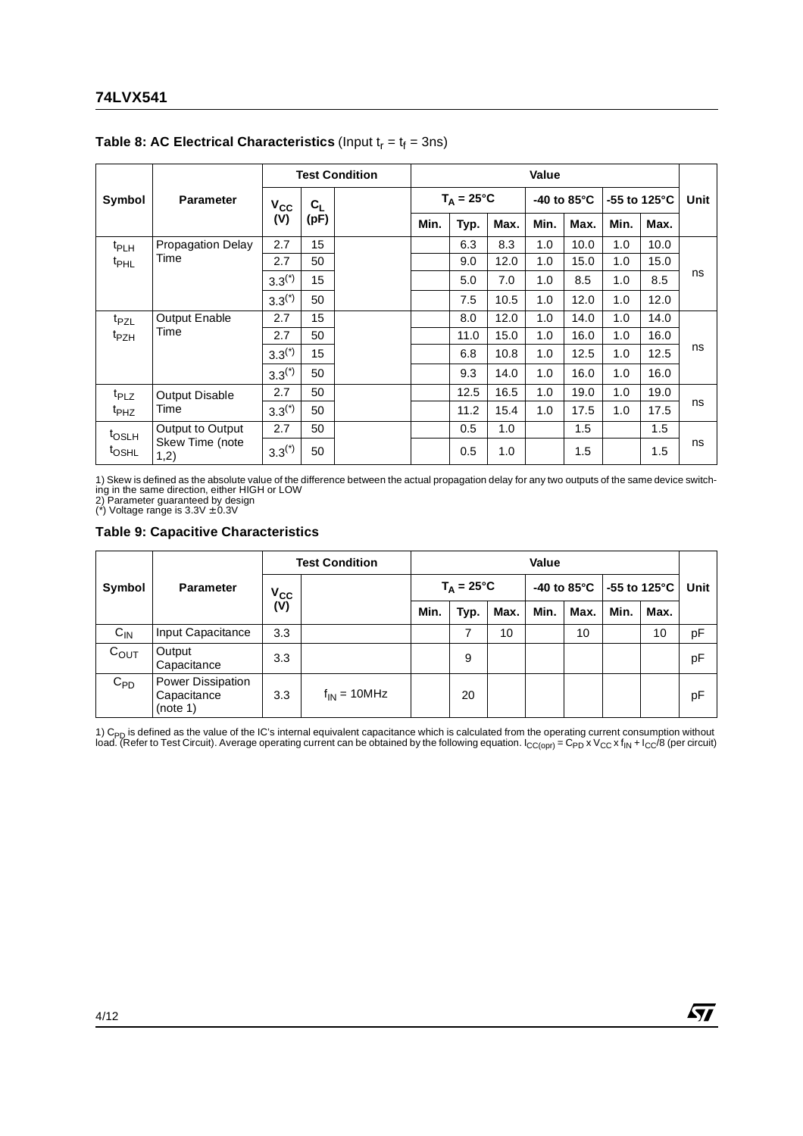|                                       |                          |              | <b>Test Condition</b>     |  |                     | Value |      |                       |      |                         |      |      |
|---------------------------------------|--------------------------|--------------|---------------------------|--|---------------------|-------|------|-----------------------|------|-------------------------|------|------|
| Symbol                                | <b>Parameter</b>         | $V_{\rm CC}$ | $\mathbf{C}_{\mathsf{L}}$ |  | $T_A = 25^{\circ}C$ |       |      | -40 to $85^{\circ}$ C |      | -55 to 125 $^{\circ}$ C |      | Unit |
|                                       |                          | (V)          | (pF)                      |  | Min.                | Typ.  | Max. | Min.                  | Max. | Min.                    | Max. |      |
| t <sub>PLH</sub>                      | <b>Propagation Delay</b> | 2.7          | 15                        |  |                     | 6.3   | 8.3  | 1.0                   | 10.0 | 1.0                     | 10.0 |      |
| <sup>t</sup> PHL                      | Time                     | 2.7          | 50                        |  |                     | 9.0   | 12.0 | 1.0                   | 15.0 | 1.0                     | 15.0 |      |
|                                       | $3.3^{(*)}$              | 15           |                           |  | 5.0                 | 7.0   | 1.0  | 8.5                   | 1.0  | 8.5                     | ns   |      |
|                                       |                          | $3.3^{(*)}$  | 50                        |  |                     | 7.5   | 10.5 | 1.0                   | 12.0 | 1.0                     | 12.0 |      |
| t <sub>PZL</sub>                      | <b>Output Enable</b>     | 2.7          | 15                        |  |                     | 8.0   | 12.0 | 1.0                   | 14.0 | 1.0                     | 14.0 |      |
| <sup>t</sup> PZH                      | Time                     | 2.7          | 50                        |  |                     | 11.0  | 15.0 | 1.0                   | 16.0 | 1.0                     | 16.0 |      |
|                                       |                          | $3.3^{(*)}$  | 15                        |  |                     | 6.8   | 10.8 | 1.0                   | 12.5 | 1.0                     | 12.5 | ns   |
|                                       |                          | $3.3^{(*)}$  | 50                        |  |                     | 9.3   | 14.0 | 1.0                   | 16.0 | 1.0                     | 16.0 |      |
| <sup>t</sup> PLZ                      | <b>Output Disable</b>    | 2.7          | 50                        |  |                     | 12.5  | 16.5 | 1.0                   | 19.0 | 1.0                     | 19.0 |      |
| Time<br><sup>t</sup> PHZ              | $3.3^{(*)}$              | 50           |                           |  | 11.2                | 15.4  | 1.0  | 17.5                  | 1.0  | 17.5                    | ns   |      |
| Output to Output<br>t <sub>OSLH</sub> | 2.7                      | 50           |                           |  | 0.5                 | 1.0   |      | 1.5                   |      | 1.5                     |      |      |
| <sup>t</sup> OSHL                     | Skew Time (note<br>1,2)  | $3.3^{(*)}$  | 50                        |  |                     | 0.5   | 1.0  |                       | 1.5  |                         | 1.5  | ns   |

#### **Table 8: AC Electrical Characteristics** (Input  $t_r = t_f = 3$ ns)

1) Skew is defined as the absolute value of the difference between the actual propagation delay for any two outputs of the same device switching in the same direction, either HIGH or LOW

2) Parameter guaranteed by design (\*) Voltage range is 3.3V ± 0.3V

#### **Table 9: Capacitive Characteristics**

|           | <b>Parameter</b>                             | <b>Test Condition</b> |                  | Value               |      |      |                       |      |                          |      |      |
|-----------|----------------------------------------------|-----------------------|------------------|---------------------|------|------|-----------------------|------|--------------------------|------|------|
| Symbol    |                                              | $V_{CC}$<br>$(V)$     |                  | $T_A = 25^{\circ}C$ |      |      | -40 to $85^{\circ}$ C |      | $-55$ to 125 $\degree$ C |      | Unit |
|           |                                              |                       |                  | Min.                | Typ. | Max. | Min.                  | Max. | Min.                     | Max. |      |
| $C_{IN}$  | Input Capacitance                            | 3.3                   |                  |                     |      | 10   |                       | 10   |                          | 10   | рF   |
| $C_{OUT}$ | Output<br>Capacitance                        | 3.3                   |                  |                     | 9    |      |                       |      |                          |      | pF   |
| $C_{PD}$  | Power Dissipation<br>Capacitance<br>(note 1) | 3.3                   | $f_{IN}$ = 10MHz |                     | 20   |      |                       |      |                          |      | pF   |

1) C<sub>PD</sub> is defined as the value of the IC's internal equivalent capacitance which is calculated from the operating current consumption without<br>load. (Refer to Test Circuit). Average operating current can be obtained by th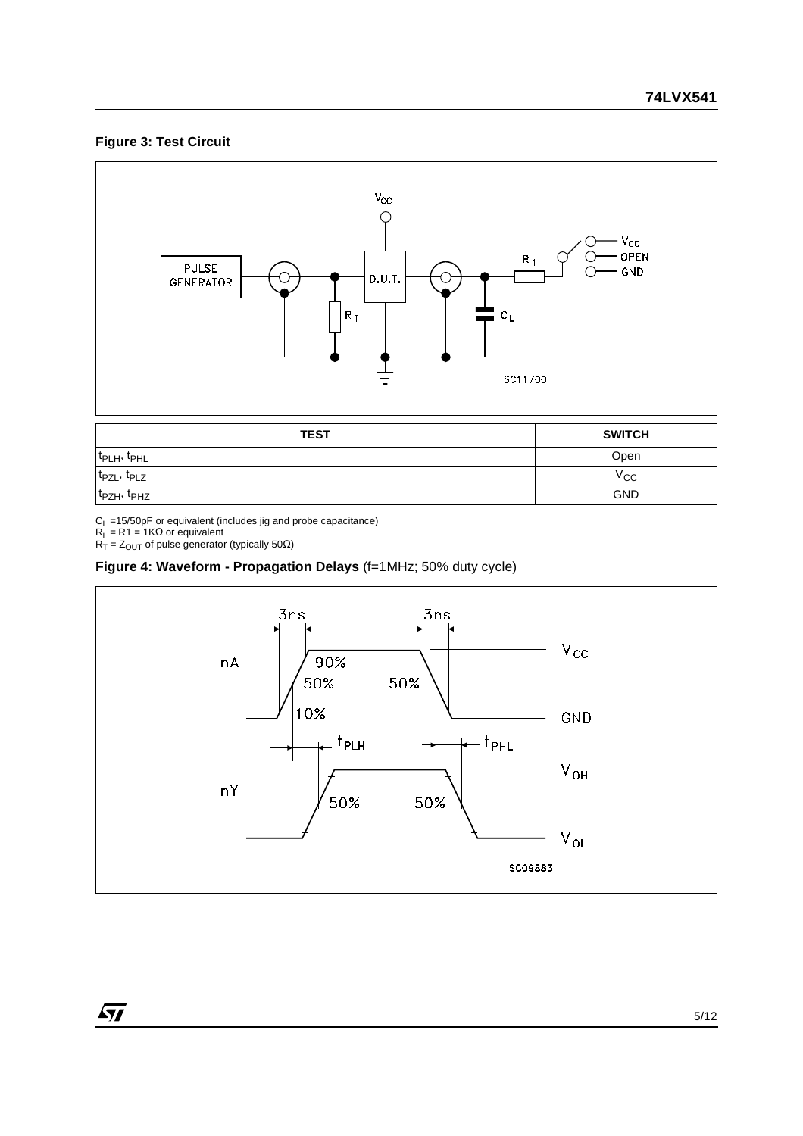#### **Figure 3: Test Circuit**



t<sub>PZH</sub>, t<sub>PHZ</sub> GND

57

 $C_{L}$  =15/50pF or equivalent (includes jig and probe capacitance)

 $\mathsf{R}_\mathsf{L} = \mathsf{R} \mathsf{1} = \mathsf{1} \mathsf{K} \Omega$  or equivalent

 $R_{\text{T}} = Z_{\text{OUT}}$  of pulse generator (typically 50 $\Omega$ )

#### **Figure 4: Waveform - Propagation Delays** (f=1MHz; 50% duty cycle)

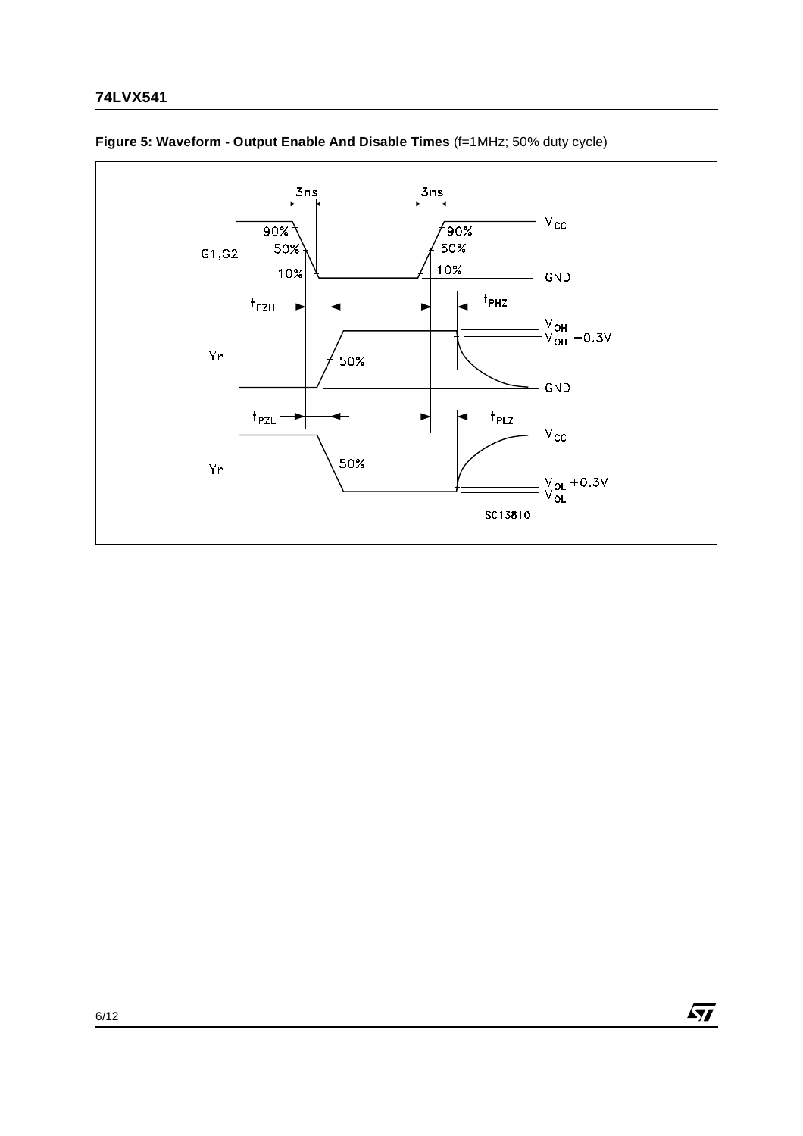

 $\sqrt{M}$ 

#### **Figure 5: Waveform - Output Enable And Disable Times** (f=1MHz; 50% duty cycle)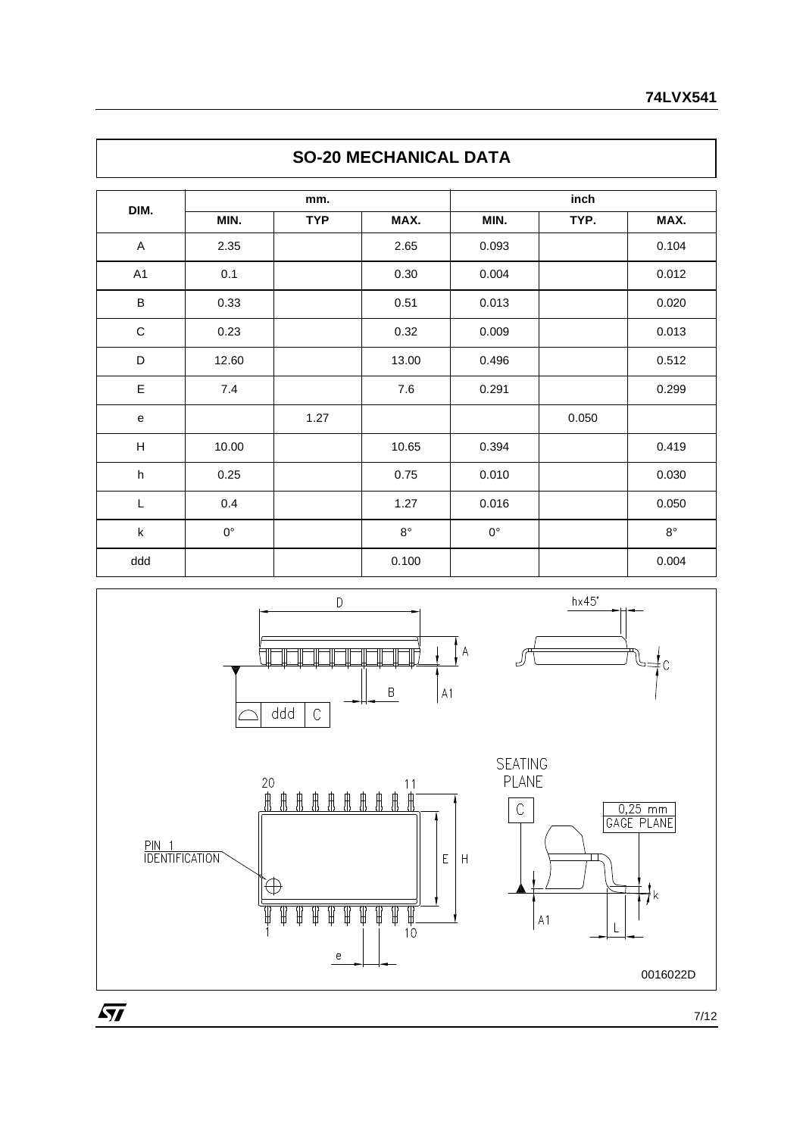## **SO-20 MECHANICAL DATA**

| DIM.                      |             | mm.        |             | inch        |       |             |  |  |
|---------------------------|-------------|------------|-------------|-------------|-------|-------------|--|--|
|                           | MIN.        | <b>TYP</b> | MAX.        | MIN.        | TYP.  | MAX.        |  |  |
| $\mathsf{A}$              | 2.35        |            | 2.65        | 0.093       |       | 0.104       |  |  |
| A1                        | 0.1         |            | 0.30        | 0.004       |       | 0.012       |  |  |
| $\sf B$                   | 0.33        |            | 0.51        | 0.013       |       | 0.020       |  |  |
| $\mathsf C$               | 0.23        |            | 0.32        | 0.009       |       | 0.013       |  |  |
| $\mathsf D$               | 12.60       |            | 13.00       | 0.496       |       | 0.512       |  |  |
| $\mathsf E$               | 7.4         |            | 7.6         | 0.291       |       | 0.299       |  |  |
| ${\bf e}$                 |             | 1.27       |             |             | 0.050 |             |  |  |
| H                         | 10.00       |            | 10.65       | 0.394       |       | 0.419       |  |  |
| $\boldsymbol{\mathsf{h}}$ | 0.25        |            | 0.75        | 0.010       |       | 0.030       |  |  |
| L                         | 0.4         |            | 1.27        | 0.016       |       | 0.050       |  |  |
| $\sf k$                   | $0^{\circ}$ |            | $8^{\circ}$ | $0^{\circ}$ |       | $8^{\circ}$ |  |  |
| ddd                       |             |            | 0.100       |             |       | 0.004       |  |  |



0016022D

ŧk

 $\frac{1}{1}$ c

 $\sqrt{5}$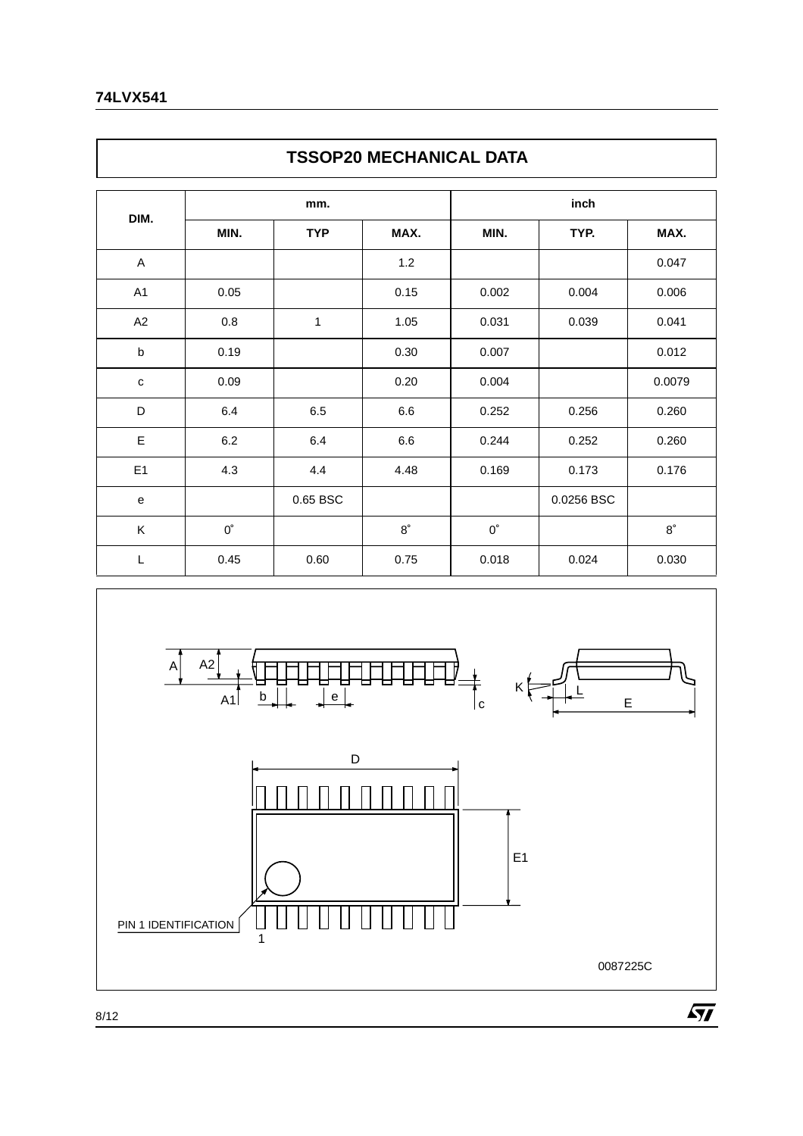## **TSSOP20 MECHANICAL DATA**

|              |             | mm.        |             | inch        |            |             |  |  |
|--------------|-------------|------------|-------------|-------------|------------|-------------|--|--|
| DIM.         | MIN.        | <b>TYP</b> | MAX.        | MIN.        | TYP.       | MAX.        |  |  |
| A            |             |            | 1.2         |             |            | 0.047       |  |  |
| A1           | 0.05        |            | 0.15        | 0.002       | 0.004      | 0.006       |  |  |
| A2           | 0.8         | 1          | 1.05        | 0.031       | 0.039      | 0.041       |  |  |
| b            | 0.19        |            | 0.30        | 0.007       |            | 0.012       |  |  |
| $\mathbf c$  | 0.09        |            | 0.20        | 0.004       |            | 0.0079      |  |  |
| D            | 6.4         | 6.5        | 6.6         | 0.252       | 0.256      | 0.260       |  |  |
| E            | $6.2\,$     | 6.4        | 6.6         | 0.244       | 0.252      | 0.260       |  |  |
| E1           | 4.3         | 4.4        | 4.48        | 0.169       | 0.173      | 0.176       |  |  |
| $\mathsf{e}$ |             | 0.65 BSC   |             |             | 0.0256 BSC |             |  |  |
| Κ            | $0^{\circ}$ |            | $8^{\circ}$ | $0^{\circ}$ |            | $8^{\circ}$ |  |  |
| L            | 0.45        | 0.60       | 0.75        | 0.018       | 0.024      | 0.030       |  |  |

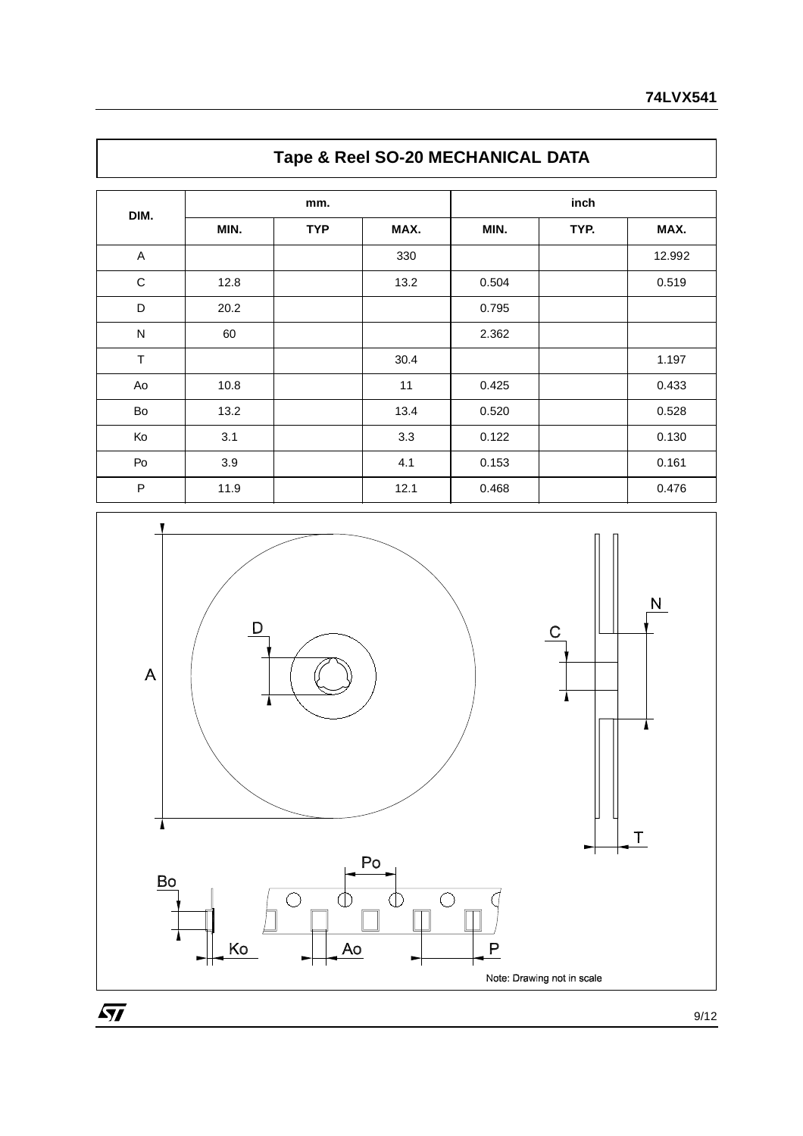| DIM.         | mm.  |            |      | inch  |      |        |
|--------------|------|------------|------|-------|------|--------|
|              | MIN. | <b>TYP</b> | MAX. | MIN.  | TYP. | MAX.   |
| $\mathsf A$  |      |            | 330  |       |      | 12.992 |
| $\mathbf C$  | 12.8 |            | 13.2 | 0.504 |      | 0.519  |
| D            | 20.2 |            |      | 0.795 |      |        |
| $\mathsf{N}$ | 60   |            |      | 2.362 |      |        |
| $\top$       |      |            | 30.4 |       |      | 1.197  |
| Ao           | 10.8 |            | 11   | 0.425 |      | 0.433  |
| Bo           | 13.2 |            | 13.4 | 0.520 |      | 0.528  |
| Ko           | 3.1  |            | 3.3  | 0.122 |      | 0.130  |
| Po           | 3.9  |            | 4.1  | 0.153 |      | 0.161  |
| $\sf P$      | 11.9 |            | 12.1 | 0.468 |      | 0.476  |

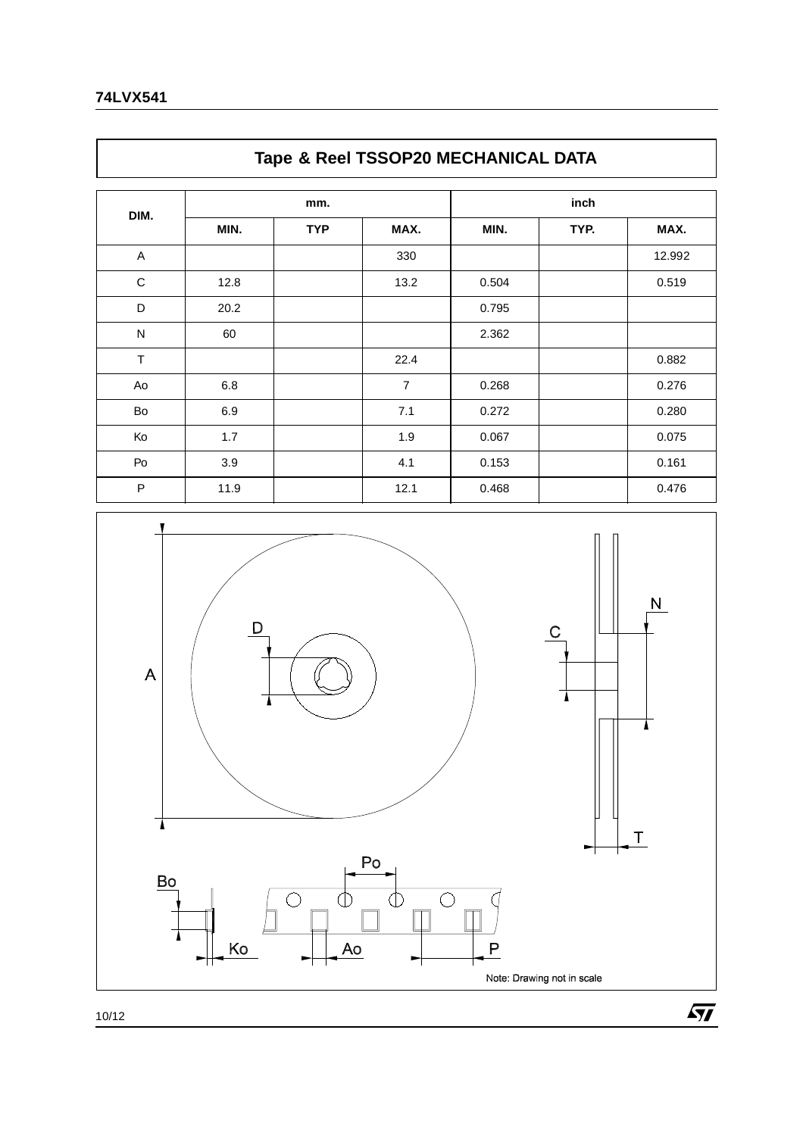## **Tape & Reel TSSOP20 MECHANICAL DATA**

| DIM.        | mm.  |            |                | inch  |      |        |
|-------------|------|------------|----------------|-------|------|--------|
|             | MIN. | <b>TYP</b> | MAX.           | MIN.  | TYP. | MAX.   |
| A           |      |            | 330            |       |      | 12.992 |
| $\mathbf C$ | 12.8 |            | 13.2           | 0.504 |      | 0.519  |
| D           | 20.2 |            |                | 0.795 |      |        |
| ${\sf N}$   | 60   |            |                | 2.362 |      |        |
| $\top$      |      |            | 22.4           |       |      | 0.882  |
| Ao          | 6.8  |            | $\overline{7}$ | 0.268 |      | 0.276  |
| Bo          | 6.9  |            | 7.1            | 0.272 |      | 0.280  |
| Ko          | 1.7  |            | 1.9            | 0.067 |      | 0.075  |
| Po          | 3.9  |            | 4.1            | 0.153 |      | 0.161  |
| P           | 11.9 |            | 12.1           | 0.468 |      | 0.476  |



 $\overline{SI}$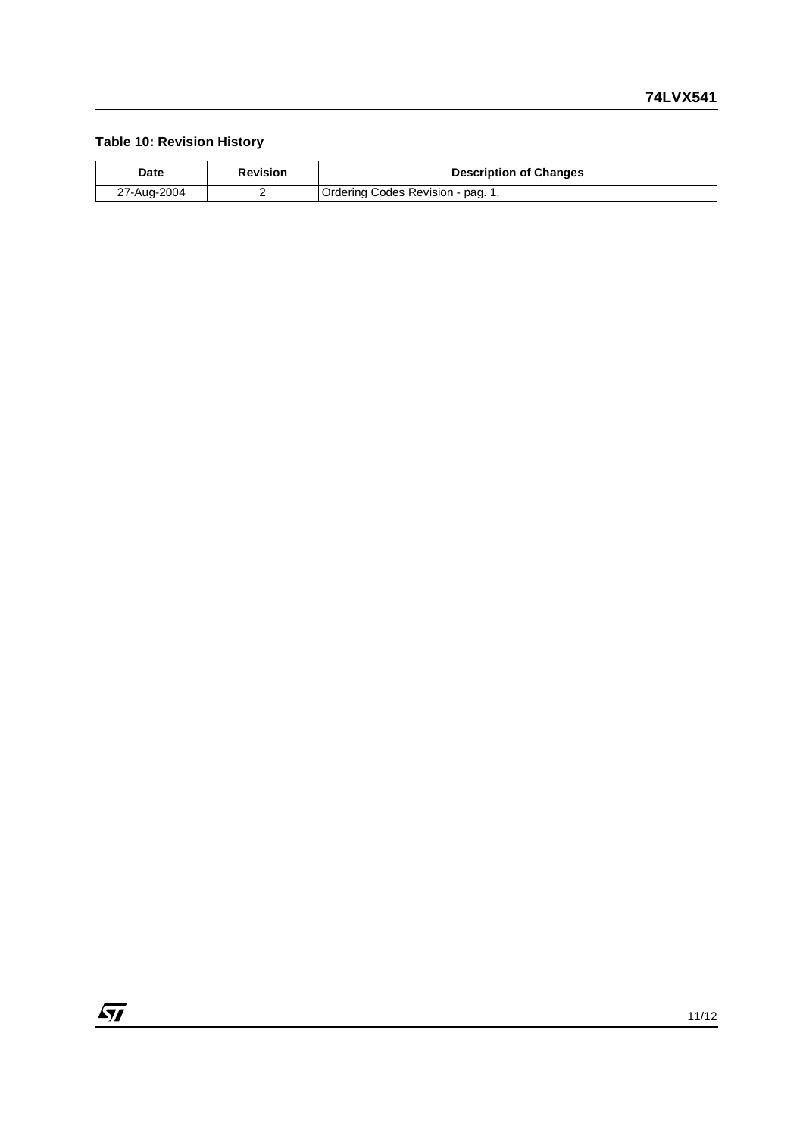### **Table 10: Revision History**

| Date        | <b>Revision</b> | <b>Description of Changes</b>     |
|-------------|-----------------|-----------------------------------|
| 27-Aug-2004 |                 | Ordering Codes Revision - pag. 1. |